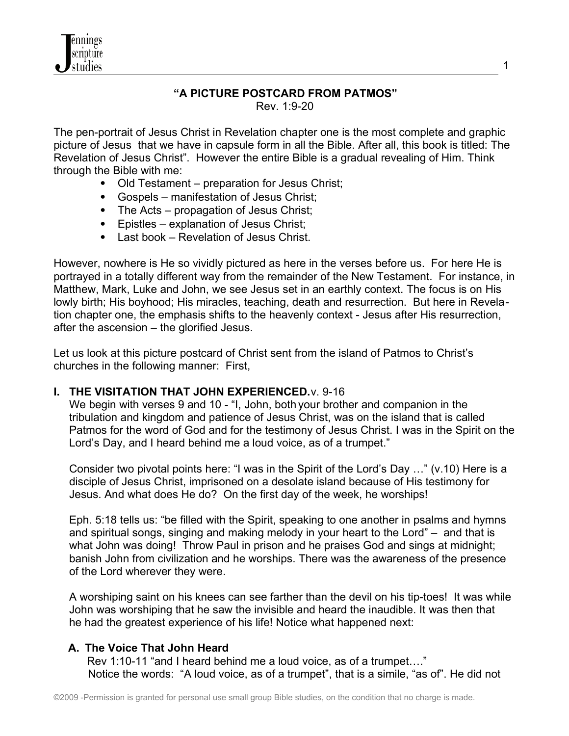

# **"A PICTURE POSTCARD FROM PATMOS"**

Rev. 1:9-20

The pen-portrait of Jesus Christ in Revelation chapter one is the most complete and graphic picture of Jesus that we have in capsule form in all the Bible. After all, this book is titled: The Revelation of Jesus Christ". However the entire Bible is a gradual revealing of Him. Think through the Bible with me:

- Old Testament preparation for Jesus Christ;
- Gospels manifestation of Jesus Christ;
- The Acts propagation of Jesus Christ;
- Epistles explanation of Jesus Christ;
- Last book Revelation of Jesus Christ.

However, nowhere is He so vividly pictured as here in the verses before us. For here He is portrayed in a totally different way from the remainder of the New Testament. For instance, in Matthew, Mark, Luke and John, we see Jesus set in an earthly context. The focus is on His lowly birth; His boyhood; His miracles, teaching, death and resurrection. But here in Revelation chapter one, the emphasis shifts to the heavenly context - Jesus after His resurrection, after the ascension – the glorified Jesus.

Let us look at this picture postcard of Christ sent from the island of Patmos to Christ's churches in the following manner: First,

#### **I. THE VISITATION THAT JOHN EXPERIENCED. v. 9-16**

We begin with verses 9 and 10 - "I, John, both your brother and companion in the tribulation and kingdom and patience of Jesus Christ, was on the island that is called Patmos for the word of God and for the testimony of Jesus Christ. I was in the Spirit on the Lord's Day, and I heard behind me a loud voice, as of a trumpet."

 Consider two pivotal points here: "I was in the Spirit of the Lord's Day …" (v.10) Here is a disciple of Jesus Christ, imprisoned on a desolate island because of His testimony for Jesus. And what does He do? On the first day of the week, he worships!

 Eph. 5:18 tells us: "be filled with the Spirit, speaking to one another in psalms and hymns and spiritual songs, singing and making melody in your heart to the Lord" – and that is what John was doing! Throw Paul in prison and he praises God and sings at midnight; banish John from civilization and he worships. There was the awareness of the presence of the Lord wherever they were.

 A worshiping saint on his knees can see farther than the devil on his tip-toes! It was while John was worshiping that he saw the invisible and heard the inaudible. It was then that he had the greatest experience of his life! Notice what happened next:

# **A. The Voice That John Heard**

Rev 1:10-11 "and I heard behind me a loud voice, as of a trumpet…." Notice the words: "A loud voice, as of a trumpet", that is a simile, "as of". He did not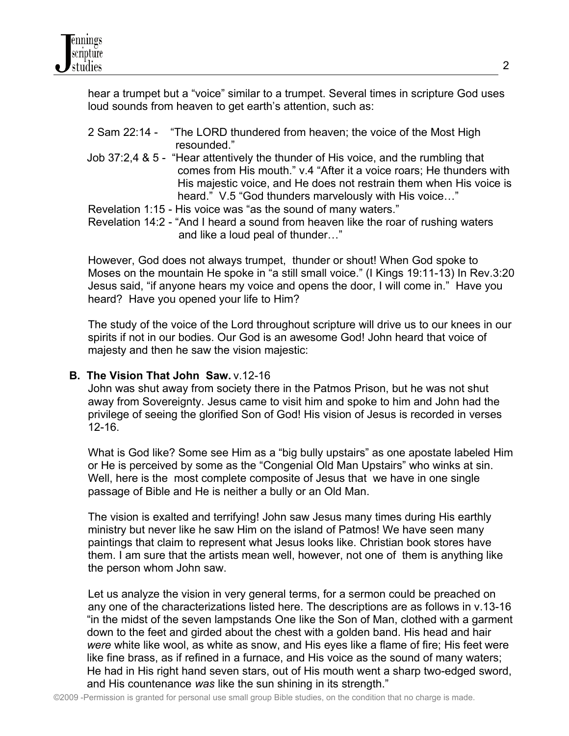hear a trumpet but a "voice" similar to a trumpet. Several times in scripture God uses loud sounds from heaven to get earth's attention, such as:

- 2 Sam 22:14 "The LORD thundered from heaven; the voice of the Most High resounded."
- Job 37:2,4 & 5 "Hear attentively the thunder of His voice, and the rumbling that comes from His mouth." v.4 "After it a voice roars; He thunders with His majestic voice, and He does not restrain them when His voice is heard." V.5 "God thunders marvelously with His voice…"
- Revelation 1:15 His voice was "as the sound of many waters."

 Revelation 14:2 - "And I heard a sound from heaven like the roar of rushing waters and like a loud peal of thunder…"

 However, God does not always trumpet, thunder or shout! When God spoke to Moses on the mountain He spoke in "a still small voice." (I Kings 19:11-13) In Rev.3:20 Jesus said, "if anyone hears my voice and opens the door, I will come in." Have you heard? Have you opened your life to Him?

 The study of the voice of the Lord throughout scripture will drive us to our knees in our spirits if not in our bodies. Our God is an awesome God! John heard that voice of majesty and then he saw the vision majestic:

#### **B. The Vision That John Saw.** v.12-16

 John was shut away from society there in the Patmos Prison, but he was not shut away from Sovereignty. Jesus came to visit him and spoke to him and John had the privilege of seeing the glorified Son of God! His vision of Jesus is recorded in verses 12-16.

 What is God like? Some see Him as a "big bully upstairs" as one apostate labeled Him or He is perceived by some as the "Congenial Old Man Upstairs" who winks at sin. Well, here is the most complete composite of Jesus that we have in one single passage of Bible and He is neither a bully or an Old Man.

 The vision is exalted and terrifying! John saw Jesus many times during His earthly ministry but never like he saw Him on the island of Patmos! We have seen many paintings that claim to represent what Jesus looks like. Christian book stores have them. I am sure that the artists mean well, however, not one of them is anything like the person whom John saw.

 Let us analyze the vision in very general terms, for a sermon could be preached on any one of the characterizations listed here. The descriptions are as follows in v.13-16 "in the midst of the seven lampstands One like the Son of Man, clothed with a garment down to the feet and girded about the chest with a golden band. His head and hair *were* white like wool, as white as snow, and His eyes like a flame of fire; His feet were like fine brass, as if refined in a furnace, and His voice as the sound of many waters; He had in His right hand seven stars, out of His mouth went a sharp two-edged sword, and His countenance *was* like the sun shining in its strength."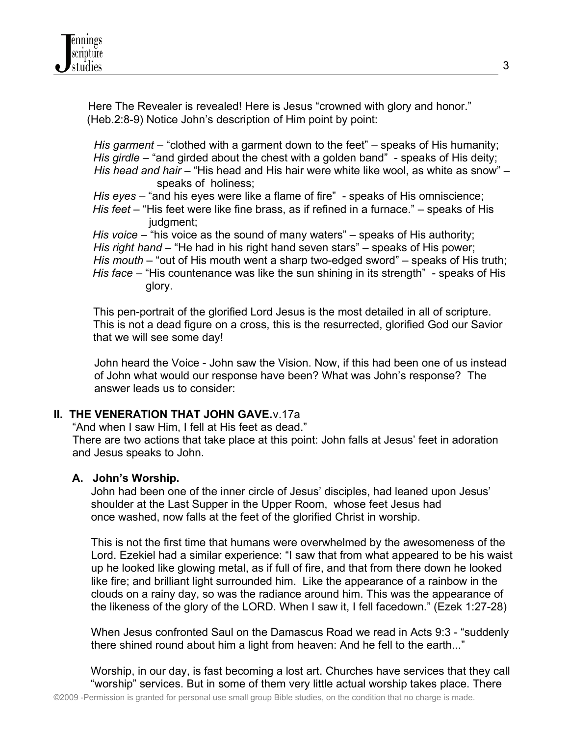Here The Revealer is revealed! Here is Jesus "crowned with glory and honor." (Heb.2:8-9) Notice John's description of Him point by point:

 *His garment* – "clothed with a garment down to the feet" – speaks of His humanity; *His girdle* – "and girded about the chest with a golden band" - speaks of His deity; *His head and hair* – "His head and His hair were white like wool, as white as snow" – speaks of holiness;

 *His eyes* – "and his eyes were like a flame of fire" - speaks of His omniscience; *His feet* – "His feet were like fine brass, as if refined in a furnace." – speaks of His judgment;

*His voice* – "his voice as the sound of many waters" – speaks of His authority; *His right hand* – "He had in his right hand seven stars" – speaks of His power; *His mouth* – "out of His mouth went a sharp two-edged sword" – speaks of His truth; *His face* – "His countenance was like the sun shining in its strength" - speaks of His glory.

 This pen-portrait of the glorified Lord Jesus is the most detailed in all of scripture. This is not a dead figure on a cross, this is the resurrected, glorified God our Savior that we will see some day!

 John heard the Voice - John saw the Vision. Now, if this had been one of us instead of John what would our response have been? What was John's response? The answer leads us to consider:

## **II. THE VENERATION THAT JOHN GAVE.** v.17a

"And when I saw Him, I fell at His feet as dead."

 There are two actions that take place at this point: John falls at Jesus' feet in adoration and Jesus speaks to John.

#### **A. John's Worship.**

 John had been one of the inner circle of Jesus' disciples, had leaned upon Jesus' shoulder at the Last Supper in the Upper Room, whose feet Jesus had once washed, now falls at the feet of the glorified Christ in worship.

 This is not the first time that humans were overwhelmed by the awesomeness of the Lord. Ezekiel had a similar experience: "I saw that from what appeared to be his waist up he looked like glowing metal, as if full of fire, and that from there down he looked like fire; and brilliant light surrounded him. Like the appearance of a rainbow in the clouds on a rainy day, so was the radiance around him. This was the appearance of the likeness of the glory of the LORD. When I saw it, I fell facedown." (Ezek 1:27-28)

 When Jesus confronted Saul on the Damascus Road we read in Acts 9:3 - "suddenly there shined round about him a light from heaven: And he fell to the earth..."

 Worship, in our day, is fast becoming a lost art. Churches have services that they call "worship" services. But in some of them very little actual worship takes place. There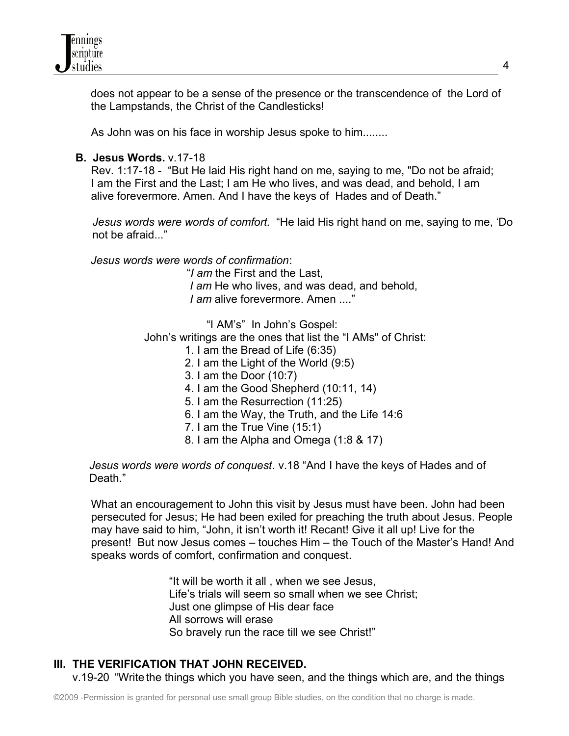

 does not appear to be a sense of the presence or the transcendence of the Lord of the Lampstands, the Christ of the Candlesticks!

As John was on his face in worship Jesus spoke to him........

## **B. Jesus Words.** v.17-18

 Rev. 1:17-18 - "But He laid His right hand on me, saying to me, "Do not be afraid; I am the First and the Last; I am He who lives, and was dead, and behold, I am alive forevermore. Amen. And I have the keys of Hades and of Death."

 *Jesus words were words of comfort.* "He laid His right hand on me, saying to me, 'Do not be afraid..."

 *Jesus words were words of confirmation*:

"*I am* the First and the Last, I am He who lives, and was dead, and behold, *I am* alive forevermore. Amen ...."

"I AM's" In John's Gospel:

John's writings are the ones that list the "I AMs" of Christ:

- 1. I am the Bread of Life (6:35)
- 2. I am the Light of the World (9:5)
- 3. I am the Door (10:7)
- 4. I am the Good Shepherd (10:11, 14)
- 5. I am the Resurrection (11:25)
- 6. I am the Way, the Truth, and the Life 14:6
- 7. I am the True Vine (15:1)
- 8. I am the Alpha and Omega (1:8 & 17)

 *Jesus words were words of conquest*. v.18 "And I have the keys of Hades and of Death."

 What an encouragement to John this visit by Jesus must have been. John had been persecuted for Jesus; He had been exiled for preaching the truth about Jesus. People may have said to him, "John, it isn't worth it! Recant! Give it all up! Live for the present! But now Jesus comes – touches Him – the Touch of the Master's Hand! And speaks words of comfort, confirmation and conquest.

> "It will be worth it all , when we see Jesus, Life's trials will seem so small when we see Christ; Just one glimpse of His dear face All sorrows will erase So bravely run the race till we see Christ!"

# **III. THE VERIFICATION THAT JOHN RECEIVED.**

v.19-20 "Write the things which you have seen, and the things which are, and the things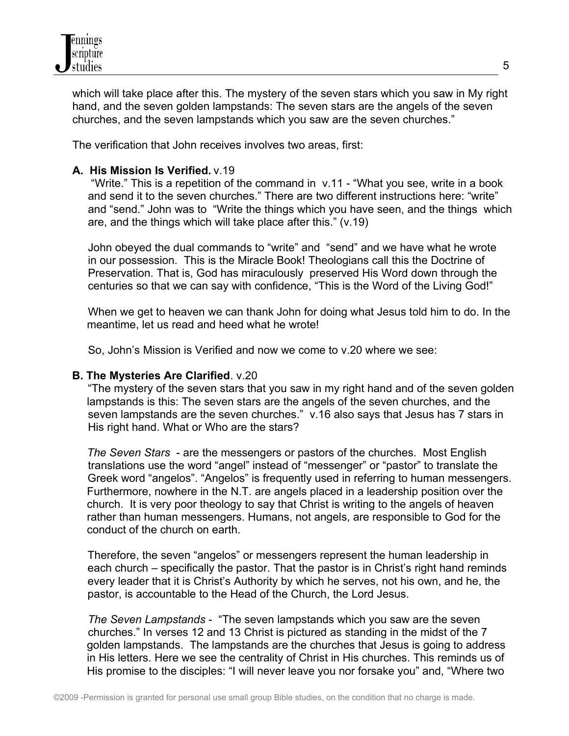

 which will take place after this. The mystery of the seven stars which you saw in My right hand, and the seven golden lampstands: The seven stars are the angels of the seven churches, and the seven lampstands which you saw are the seven churches."

The verification that John receives involves two areas, first:

## **A. His Mission Is Verified.** v.19

 "Write." This is a repetition of the command in v.11 - "What you see, write in a book and send it to the seven churches." There are two different instructions here: "write" and "send." John was to "Write the things which you have seen, and the things which are, and the things which will take place after this." (v.19)

 John obeyed the dual commands to "write" and "send" and we have what he wrote in our possession. This is the Miracle Book! Theologians call this the Doctrine of Preservation. That is, God has miraculously preserved His Word down through the centuries so that we can say with confidence, "This is the Word of the Living God!"

 When we get to heaven we can thank John for doing what Jesus told him to do. In the meantime, let us read and heed what he wrote!

So, John's Mission is Verified and now we come to v.20 where we see:

#### **B. The Mysteries Are Clarified**. v.20

 "The mystery of the seven stars that you saw in my right hand and of the seven golden lampstands is this: The seven stars are the angels of the seven churches, and the seven lampstands are the seven churches." v.16 also says that Jesus has 7 stars in His right hand. What or Who are the stars?

*The Seven Stars* - are the messengers or pastors of the churches. Most English translations use the word "angel" instead of "messenger" or "pastor" to translate the Greek word "angelos". "Angelos" is frequently used in referring to human messengers. Furthermore, nowhere in the N.T. are angels placed in a leadership position over the church. It is very poor theology to say that Christ is writing to the angels of heaven rather than human messengers. Humans, not angels, are responsible to God for the conduct of the church on earth.

 Therefore, the seven "angelos" or messengers represent the human leadership in each church – specifically the pastor. That the pastor is in Christ's right hand reminds every leader that it is Christ's Authority by which he serves, not his own, and he, the pastor, is accountable to the Head of the Church, the Lord Jesus.

 *The Seven Lampstands* - "The seven lampstands which you saw are the seven churches." In verses 12 and 13 Christ is pictured as standing in the midst of the 7 golden lampstands. The lampstands are the churches that Jesus is going to address in His letters. Here we see the centrality of Christ in His churches. This reminds us of His promise to the disciples: "I will never leave you nor forsake you" and, "Where two